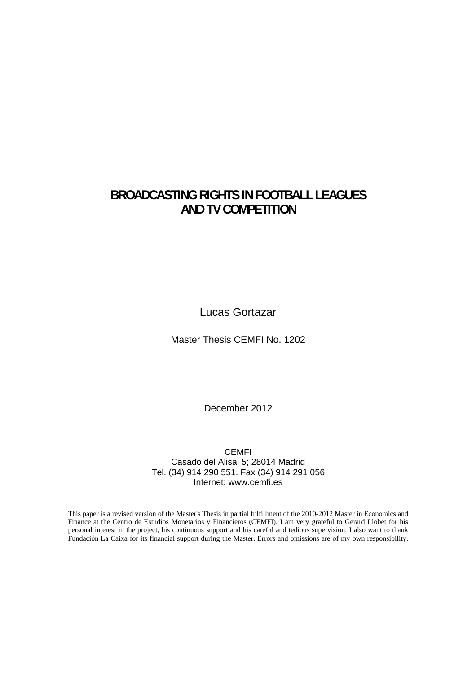# **BROADCASTING RIGHTS IN FOOTBALL LEAGUES AND TV COMPETITION**

Lucas Gortazar

Master Thesis CEMFI No. 1202

December 2012

CEMFI Casado del Alisal 5; 28014 Madrid Tel. (34) 914 290 551. Fax (34) 914 291 056 Internet: www.cemfi.es

This paper is a revised version of the Master's Thesis in partial fulfillment of the 2010-2012 Master in Economics and Finance at the Centro de Estudios Monetarios y Financieros (CEMFI). I am very grateful to Gerard Llobet for his personal interest in the project, his continuous support and his careful and tedious supervision. I also want to thank Fundación La Caixa for its financial support during the Master. Errors and omissions are of my own responsibility.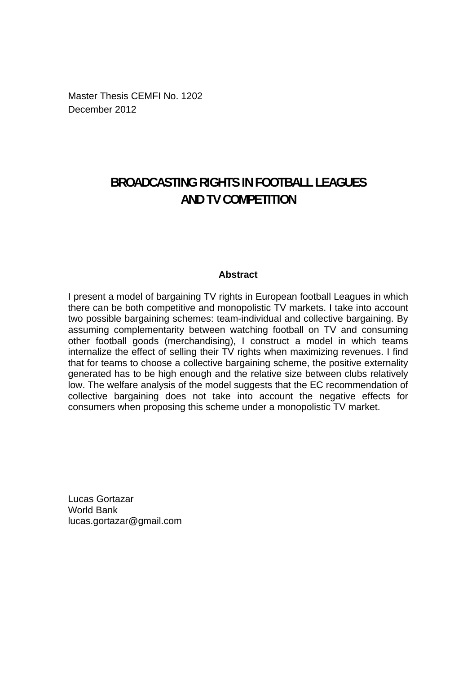Master Thesis CEMFI No. 1202 December 2012

# **BROADCASTING RIGHTS IN FOOTBALL LEAGUES AND TV COMPETITION**

### **Abstract**

I present a model of bargaining TV rights in European football Leagues in which there can be both competitive and monopolistic TV markets. I take into account two possible bargaining schemes: team-individual and collective bargaining. By assuming complementarity between watching football on TV and consuming other football goods (merchandising), I construct a model in which teams internalize the effect of selling their TV rights when maximizing revenues. I find that for teams to choose a collective bargaining scheme, the positive externality generated has to be high enough and the relative size between clubs relatively low. The welfare analysis of the model suggests that the EC recommendation of collective bargaining does not take into account the negative effects for consumers when proposing this scheme under a monopolistic TV market.

Lucas Gortazar World Bank lucas.gortazar@gmail.com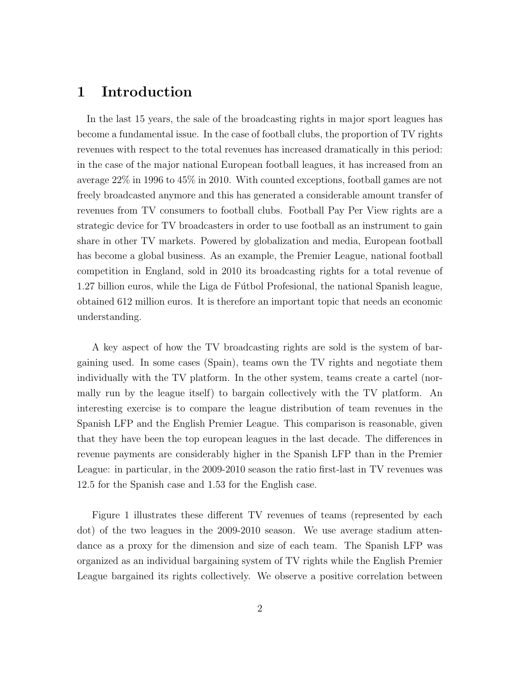# 1 Introduction

In the last 15 years, the sale of the broadcasting rights in major sport leagues has become a fundamental issue. In the case of football clubs, the proportion of TV rights revenues with respect to the total revenues has increased dramatically in this period: in the case of the major national European football leagues, it has increased from an average 22% in 1996 to 45% in 2010. With counted exceptions, football games are not freely broadcasted anymore and this has generated a considerable amount transfer of revenues from TV consumers to football clubs. Football Pay Per View rights are a strategic device for TV broadcasters in order to use football as an instrument to gain share in other TV markets. Powered by globalization and media, European football has become a global business. As an example, the Premier League, national football competition in England, sold in 2010 its broadcasting rights for a total revenue of 1.27 billion euros, while the Liga de Fútbol Profesional, the national Spanish league, obtained 612 million euros. It is therefore an important topic that needs an economic understanding.

A key aspect of how the TV broadcasting rights are sold is the system of bargaining used. In some cases (Spain), teams own the TV rights and negotiate them individually with the TV platform. In the other system, teams create a cartel (normally run by the league itself) to bargain collectively with the TV platform. An interesting exercise is to compare the league distribution of team revenues in the Spanish LFP and the English Premier League. This comparison is reasonable, given that they have been the top european leagues in the last decade. The differences in revenue payments are considerably higher in the Spanish LFP than in the Premier League: in particular, in the 2009-2010 season the ratio first-last in TV revenues was 12.5 for the Spanish case and 1.53 for the English case.

Figure 1 illustrates these different TV revenues of teams (represented by each dot) of the two leagues in the 2009-2010 season. We use average stadium attendance as a proxy for the dimension and size of each team. The Spanish LFP was organized as an individual bargaining system of TV rights while the English Premier League bargained its rights collectively. We observe a positive correlation between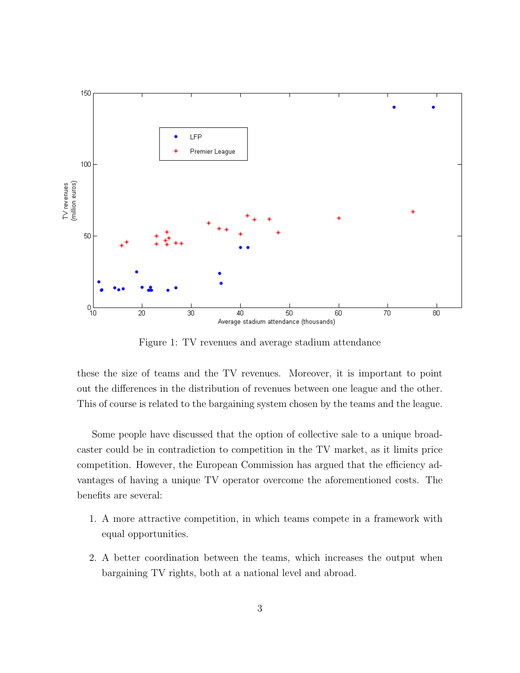

Figure 1: TV revenues and average stadium attendance

these the size of teams and the TV revenues. Moreover, it is important to point out the differences in the distribution of revenues between one league and the other. This of course is related to the bargaining system chosen by the teams and the league.

Some people have discussed that the option of collective sale to a unique broadcaster could be in contradiction to competition in the TV market, as it limits price competition. However, the European Commission has argued that the efficiency advantages of having a unique TV operator overcome the aforementioned costs. The benefits are several:

- 1. A more attractive competition, in which teams compete in a framework with equal opportunities.
- 2. A better coordination between the teams, which increases the output when bargaining TV rights, both at a national level and abroad.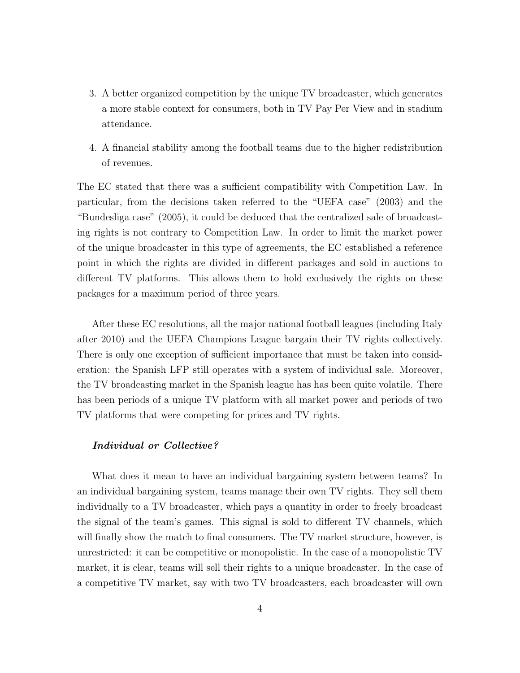- 3. A better organized competition by the unique TV broadcaster, which generates a more stable context for consumers, both in TV Pay Per View and in stadium attendance.
- 4. A financial stability among the football teams due to the higher redistribution of revenues.

The EC stated that there was a sufficient compatibility with Competition Law. In particular, from the decisions taken referred to the "UEFA case" (2003) and the "Bundesliga case" (2005), it could be deduced that the centralized sale of broadcasting rights is not contrary to Competition Law. In order to limit the market power of the unique broadcaster in this type of agreements, the EC established a reference point in which the rights are divided in different packages and sold in auctions to different TV platforms. This allows them to hold exclusively the rights on these packages for a maximum period of three years.

After these EC resolutions, all the major national football leagues (including Italy after 2010) and the UEFA Champions League bargain their TV rights collectively. There is only one exception of sufficient importance that must be taken into consideration: the Spanish LFP still operates with a system of individual sale. Moreover, the TV broadcasting market in the Spanish league has has been quite volatile. There has been periods of a unique TV platform with all market power and periods of two TV platforms that were competing for prices and TV rights.

#### Individual or Collective?

What does it mean to have an individual bargaining system between teams? In an individual bargaining system, teams manage their own TV rights. They sell them individually to a TV broadcaster, which pays a quantity in order to freely broadcast the signal of the team's games. This signal is sold to different TV channels, which will finally show the match to final consumers. The TV market structure, however, is unrestricted: it can be competitive or monopolistic. In the case of a monopolistic TV market, it is clear, teams will sell their rights to a unique broadcaster. In the case of a competitive TV market, say with two TV broadcasters, each broadcaster will own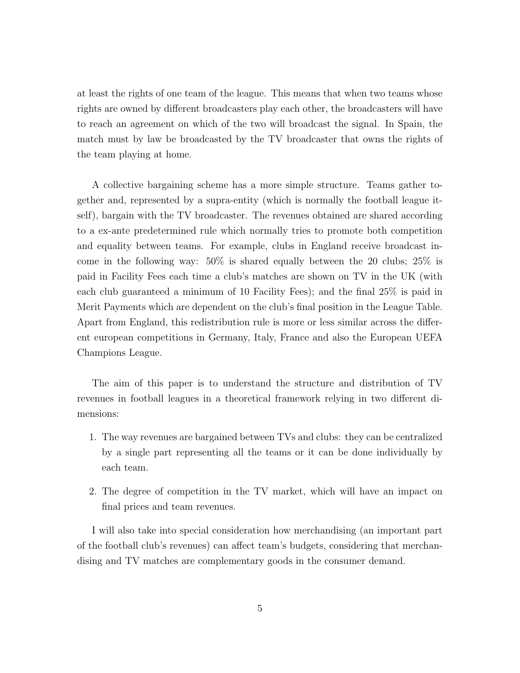at least the rights of one team of the league. This means that when two teams whose rights are owned by different broadcasters play each other, the broadcasters will have to reach an agreement on which of the two will broadcast the signal. In Spain, the match must by law be broadcasted by the TV broadcaster that owns the rights of the team playing at home.

A collective bargaining scheme has a more simple structure. Teams gather together and, represented by a supra-entity (which is normally the football league itself), bargain with the TV broadcaster. The revenues obtained are shared according to a ex-ante predetermined rule which normally tries to promote both competition and equality between teams. For example, clubs in England receive broadcast income in the following way: 50% is shared equally between the 20 clubs; 25% is paid in Facility Fees each time a club's matches are shown on TV in the UK (with each club guaranteed a minimum of 10 Facility Fees); and the final 25% is paid in Merit Payments which are dependent on the club's final position in the League Table. Apart from England, this redistribution rule is more or less similar across the different european competitions in Germany, Italy, France and also the European UEFA Champions League.

The aim of this paper is to understand the structure and distribution of TV revenues in football leagues in a theoretical framework relying in two different dimensions:

- 1. The way revenues are bargained between TVs and clubs: they can be centralized by a single part representing all the teams or it can be done individually by each team.
- 2. The degree of competition in the TV market, which will have an impact on final prices and team revenues.

I will also take into special consideration how merchandising (an important part of the football club's revenues) can affect team's budgets, considering that merchandising and TV matches are complementary goods in the consumer demand.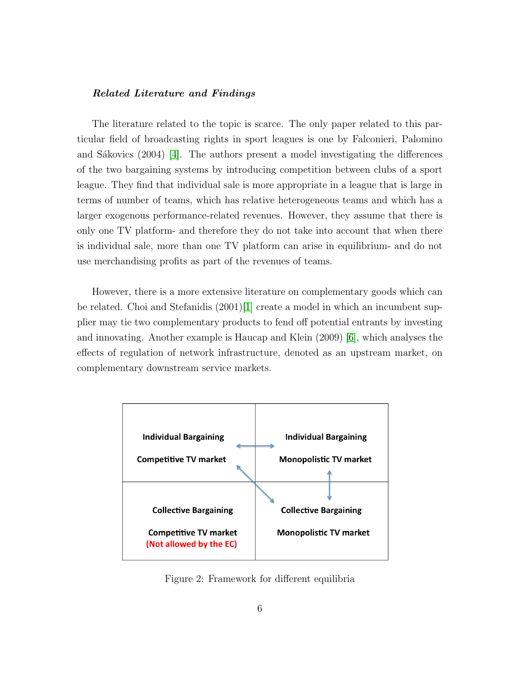#### Related Literature and Findings

The literature related to the topic is scarce. The only paper related to this particular field of broadcasting rights in sport leagues is one by Falconieri, Palomino and Sákovics  $(2004)$  [\[4\]](#page-30-0). The authors present a model investigating the differences of the two bargaining systems by introducing competition between clubs of a sport league. They find that individual sale is more appropriate in a league that is large in terms of number of teams, which has relative heterogeneous teams and which has a larger exogenous performance-related revenues. However, they assume that there is only one TV platform- and therefore they do not take into account that when there is individual sale, more than one TV platform can arise in equilibrium- and do not use merchandising profits as part of the revenues of teams.

However, there is a more extensive literature on complementary goods which can be related. Choi and Stefanidis  $(2001)[1]$  $(2001)[1]$  create a model in which an incumbent supplier may tie two complementary products to fend off potential entrants by investing and innovating. Another example is Haucap and Klein (2009) [\[6\]](#page-30-2), which analyses the effects of regulation of network infrastructure, denoted as an upstream market, on complementary downstream service markets.



Figure 2: Framework for different equilibria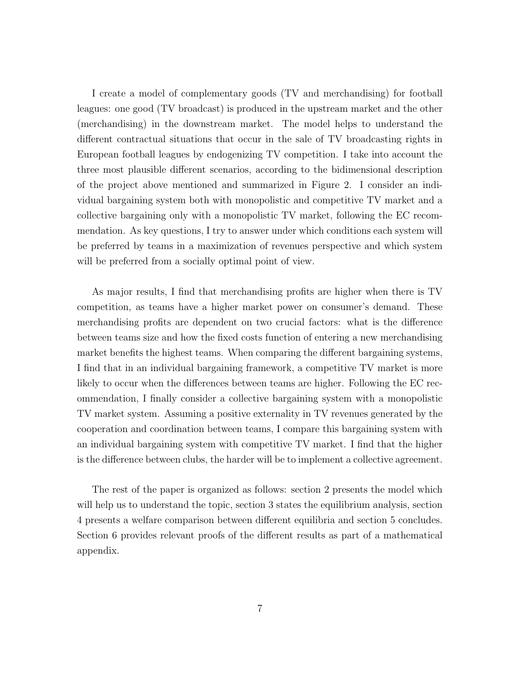I create a model of complementary goods (TV and merchandising) for football leagues: one good (TV broadcast) is produced in the upstream market and the other (merchandising) in the downstream market. The model helps to understand the different contractual situations that occur in the sale of TV broadcasting rights in European football leagues by endogenizing TV competition. I take into account the three most plausible different scenarios, according to the bidimensional description of the project above mentioned and summarized in Figure 2. I consider an individual bargaining system both with monopolistic and competitive TV market and a collective bargaining only with a monopolistic TV market, following the EC recommendation. As key questions, I try to answer under which conditions each system will be preferred by teams in a maximization of revenues perspective and which system will be preferred from a socially optimal point of view.

As major results, I find that merchandising profits are higher when there is TV competition, as teams have a higher market power on consumer's demand. These merchandising profits are dependent on two crucial factors: what is the difference between teams size and how the fixed costs function of entering a new merchandising market benefits the highest teams. When comparing the different bargaining systems, I find that in an individual bargaining framework, a competitive TV market is more likely to occur when the differences between teams are higher. Following the EC recommendation, I finally consider a collective bargaining system with a monopolistic TV market system. Assuming a positive externality in TV revenues generated by the cooperation and coordination between teams, I compare this bargaining system with an individual bargaining system with competitive TV market. I find that the higher is the difference between clubs, the harder will be to implement a collective agreement.

The rest of the paper is organized as follows: section 2 presents the model which will help us to understand the topic, section 3 states the equilibrium analysis, section 4 presents a welfare comparison between different equilibria and section 5 concludes. Section 6 provides relevant proofs of the different results as part of a mathematical appendix.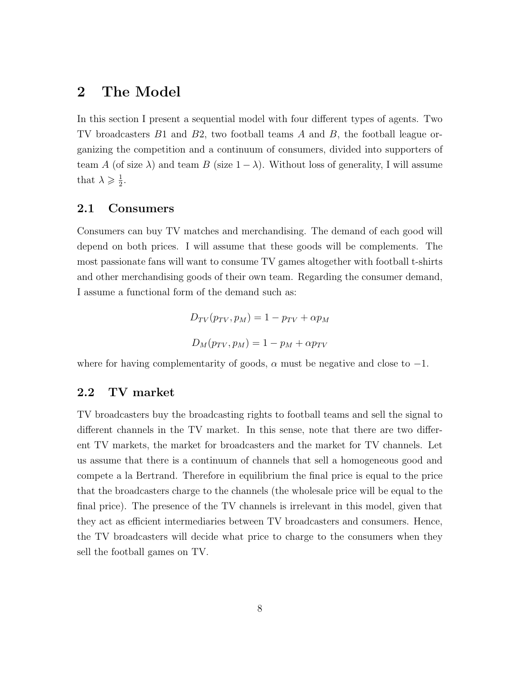# 2 The Model

In this section I present a sequential model with four different types of agents. Two TV broadcasters B1 and B2, two football teams A and B, the football league organizing the competition and a continuum of consumers, divided into supporters of team A (of size  $\lambda$ ) and team B (size  $1 - \lambda$ ). Without loss of generality, I will assume that  $\lambda \geqslant \frac{1}{2}$  $\frac{1}{2}$ .

#### 2.1 Consumers

Consumers can buy TV matches and merchandising. The demand of each good will depend on both prices. I will assume that these goods will be complements. The most passionate fans will want to consume TV games altogether with football t-shirts and other merchandising goods of their own team. Regarding the consumer demand, I assume a functional form of the demand such as:

$$
D_{TV}(p_{TV}, p_M) = 1 - p_{TV} + \alpha p_M
$$
  

$$
D_M(p_{TV}, p_M) = 1 - p_M + \alpha p_{TV}
$$

where for having complementarity of goods,  $\alpha$  must be negative and close to  $-1$ .

### 2.2 TV market

TV broadcasters buy the broadcasting rights to football teams and sell the signal to different channels in the TV market. In this sense, note that there are two different TV markets, the market for broadcasters and the market for TV channels. Let us assume that there is a continuum of channels that sell a homogeneous good and compete a la Bertrand. Therefore in equilibrium the final price is equal to the price that the broadcasters charge to the channels (the wholesale price will be equal to the final price). The presence of the TV channels is irrelevant in this model, given that they act as efficient intermediaries between TV broadcasters and consumers. Hence, the TV broadcasters will decide what price to charge to the consumers when they sell the football games on TV.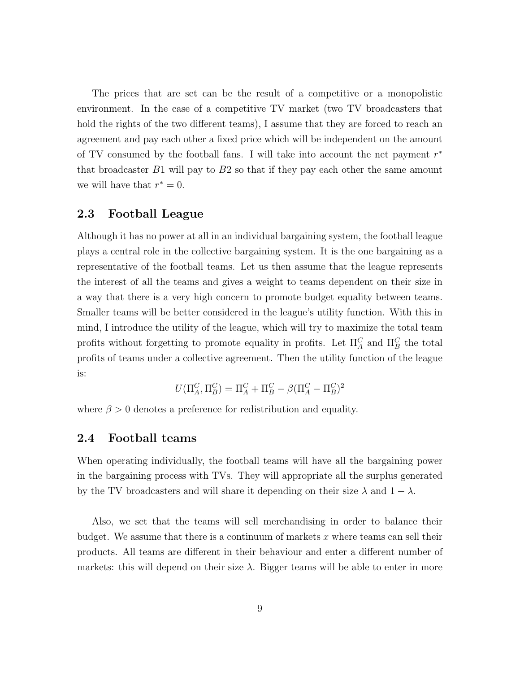The prices that are set can be the result of a competitive or a monopolistic environment. In the case of a competitive TV market (two TV broadcasters that hold the rights of the two different teams), I assume that they are forced to reach an agreement and pay each other a fixed price which will be independent on the amount of TV consumed by the football fans. I will take into account the net payment  $r^*$ that broadcaster  $B1$  will pay to  $B2$  so that if they pay each other the same amount we will have that  $r^* = 0$ .

### 2.3 Football League

Although it has no power at all in an individual bargaining system, the football league plays a central role in the collective bargaining system. It is the one bargaining as a representative of the football teams. Let us then assume that the league represents the interest of all the teams and gives a weight to teams dependent on their size in a way that there is a very high concern to promote budget equality between teams. Smaller teams will be better considered in the league's utility function. With this in mind, I introduce the utility of the league, which will try to maximize the total team profits without forgetting to promote equality in profits. Let  $\Pi_A^C$  and  $\Pi_B^C$  the total profits of teams under a collective agreement. Then the utility function of the league is:

$$
U(\Pi_A^C,\Pi_B^C)=\Pi_A^C+\Pi_B^C-\beta(\Pi_A^C-\Pi_B^C)^2
$$

where  $\beta > 0$  denotes a preference for redistribution and equality.

### 2.4 Football teams

When operating individually, the football teams will have all the bargaining power in the bargaining process with TVs. They will appropriate all the surplus generated by the TV broadcasters and will share it depending on their size  $\lambda$  and  $1 - \lambda$ .

Also, we set that the teams will sell merchandising in order to balance their budget. We assume that there is a continuum of markets  $x$  where teams can sell their products. All teams are different in their behaviour and enter a different number of markets: this will depend on their size  $\lambda$ . Bigger teams will be able to enter in more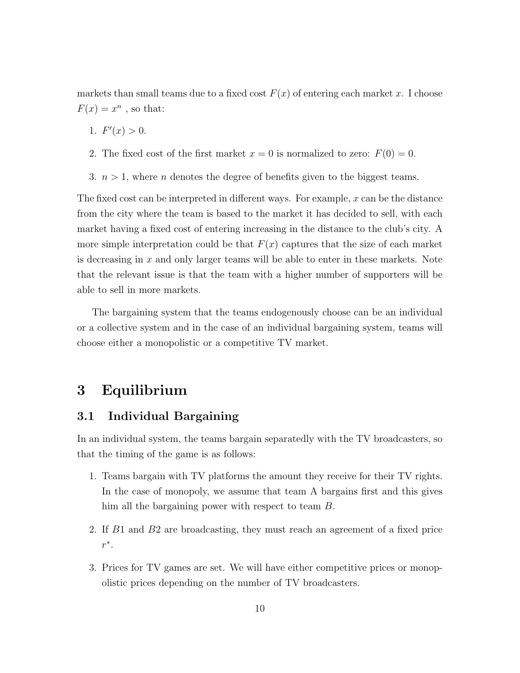markets than small teams due to a fixed cost  $F(x)$  of entering each market x. I choose  $F(x) = x^n$ , so that:

- 1.  $F'(x) > 0$ .
- 2. The fixed cost of the first market  $x = 0$  is normalized to zero:  $F(0) = 0$ .
- 3.  $n > 1$ , where *n* denotes the degree of benefits given to the biggest teams.

The fixed cost can be interpreted in different ways. For example,  $x$  can be the distance from the city where the team is based to the market it has decided to sell, with each market having a fixed cost of entering increasing in the distance to the club's city. A more simple interpretation could be that  $F(x)$  captures that the size of each market is decreasing in  $x$  and only larger teams will be able to enter in these markets. Note that the relevant issue is that the team with a higher number of supporters will be able to sell in more markets.

The bargaining system that the teams endogenously choose can be an individual or a collective system and in the case of an individual bargaining system, teams will choose either a monopolistic or a competitive TV market.

# 3 Equilibrium

### 3.1 Individual Bargaining

In an individual system, the teams bargain separatedly with the TV broadcasters, so that the timing of the game is as follows:

- 1. Teams bargain with TV platforms the amount they receive for their TV rights. In the case of monopoly, we assume that team A bargains first and this gives him all the bargaining power with respect to team B.
- 2. If B1 and B2 are broadcasting, they must reach an agreement of a fixed price  $r^*$ .
- 3. Prices for TV games are set. We will have either competitive prices or monopolistic prices depending on the number of TV broadcasters.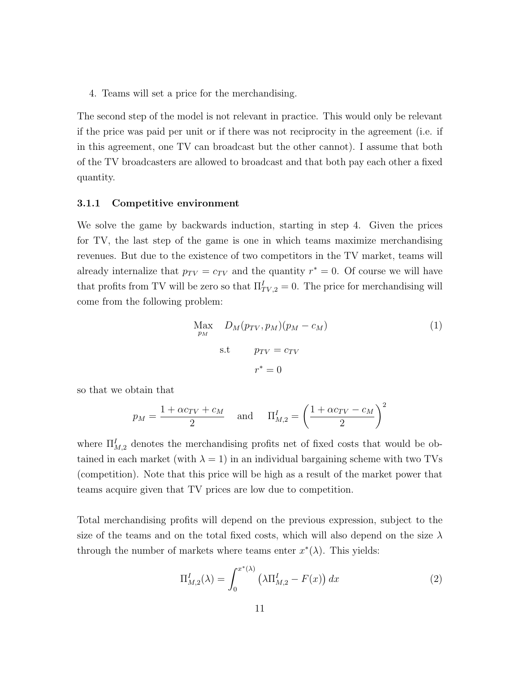4. Teams will set a price for the merchandising.

The second step of the model is not relevant in practice. This would only be relevant if the price was paid per unit or if there was not reciprocity in the agreement (i.e. if in this agreement, one TV can broadcast but the other cannot). I assume that both of the TV broadcasters are allowed to broadcast and that both pay each other a fixed quantity.

#### 3.1.1 Competitive environment

We solve the game by backwards induction, starting in step 4. Given the prices for TV, the last step of the game is one in which teams maximize merchandising revenues. But due to the existence of two competitors in the TV market, teams will already internalize that  $p_{TV} = c_{TV}$  and the quantity  $r^* = 0$ . Of course we will have that profits from TV will be zero so that  $\Pi_{TV,2}^I = 0$ . The price for merchandising will come from the following problem:

<span id="page-11-1"></span>
$$
\begin{aligned}\n\text{Max} & D_M(p_{TV}, p_M)(p_M - c_M) \\
\text{s.t} & p_{TV} = c_{TV} \\
r^* &= 0\n\end{aligned} \tag{1}
$$

so that we obtain that

$$
p_M = \frac{1 + \alpha c_{TV} + c_M}{2} \quad \text{and} \quad \Pi_{M,2}^I = \left(\frac{1 + \alpha c_{TV} - c_M}{2}\right)^2
$$

where  $\prod_{M,2}^{I}$  denotes the merchandising profits net of fixed costs that would be obtained in each market (with  $\lambda = 1$ ) in an individual bargaining scheme with two TVs (competition). Note that this price will be high as a result of the market power that teams acquire given that TV prices are low due to competition.

Total merchandising profits will depend on the previous expression, subject to the size of the teams and on the total fixed costs, which will also depend on the size  $\lambda$ through the number of markets where teams enter  $x^*(\lambda)$ . This yields:

<span id="page-11-0"></span>
$$
\Pi_{M,2}^I(\lambda) = \int_0^{x^*(\lambda)} \left(\lambda \Pi_{M,2}^I - F(x)\right) dx \tag{2}
$$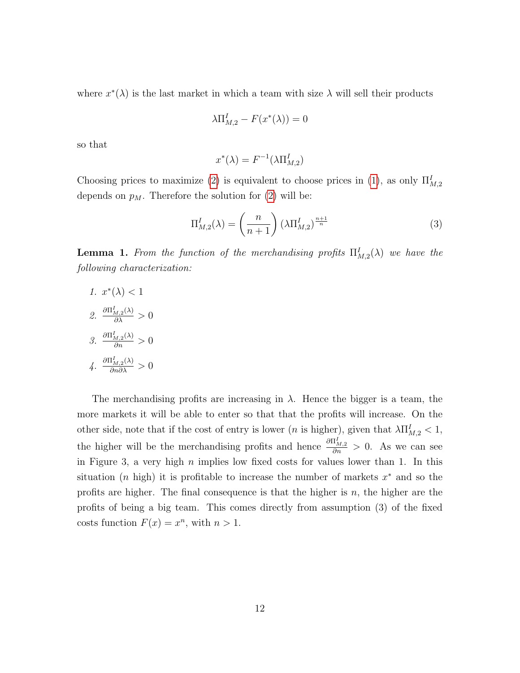where  $x^*(\lambda)$  is the last market in which a team with size  $\lambda$  will sell their products

$$
\lambda \Pi_{M,2}^I - F(x^*(\lambda)) = 0
$$

so that

$$
x^*(\lambda) = F^{-1}(\lambda \Pi_{M,2}^I)
$$

Choosing prices to maximize [\(2\)](#page-11-0) is equivalent to choose prices in [\(1\)](#page-11-1), as only  $\Pi_{M,2}^I$ depends on  $p_M$ . Therefore the solution for [\(2\)](#page-11-0) will be:

<span id="page-12-0"></span>
$$
\Pi_{M,2}^I(\lambda) = \left(\frac{n}{n+1}\right) \left(\lambda \Pi_{M,2}^I\right)^{\frac{n+1}{n}} \tag{3}
$$

**Lemma 1.** From the function of the merchandising profits  $\Pi_{M,2}^{I}(\lambda)$  we have the following characterization:

1. 
$$
x^*(\lambda) < 1
$$
  
\n2.  $\frac{\partial \Pi_{M,2}^I(\lambda)}{\partial \lambda} > 0$   
\n3.  $\frac{\partial \Pi_{M,2}^I(\lambda)}{\partial n} > 0$   
\n4.  $\frac{\partial \Pi_{M,2}^I(\lambda)}{\partial n \partial \lambda} > 0$ 

The merchandising profits are increasing in  $\lambda$ . Hence the bigger is a team, the more markets it will be able to enter so that that the profits will increase. On the other side, note that if the cost of entry is lower (*n* is higher), given that  $\lambda \Pi_{M,2}^I < 1$ , the higher will be the merchandising profits and hence  $\frac{\partial \Pi_{M,2}^I}{\partial n} > 0$ . As we can see in Figure 3, a very high  $n$  implies low fixed costs for values lower than 1. In this situation (*n* high) it is profitable to increase the number of markets  $x^*$  and so the profits are higher. The final consequence is that the higher is  $n$ , the higher are the profits of being a big team. This comes directly from assumption (3) of the fixed costs function  $F(x) = x^n$ , with  $n > 1$ .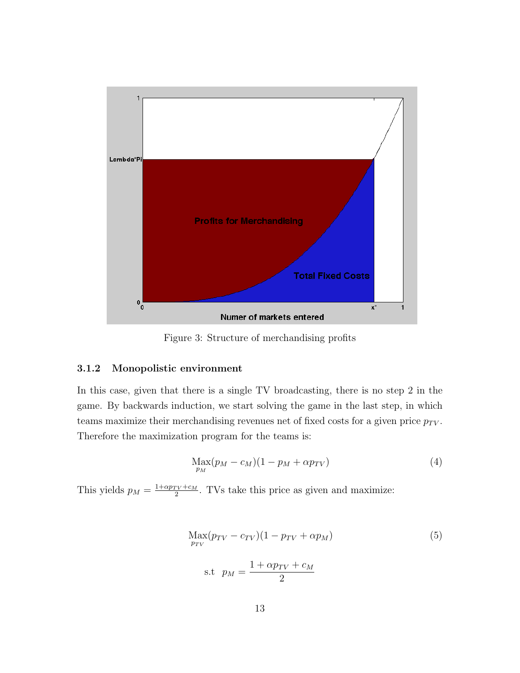

Figure 3: Structure of merchandising profits

#### 3.1.2 Monopolistic environment

In this case, given that there is a single TV broadcasting, there is no step 2 in the game. By backwards induction, we start solving the game in the last step, in which teams maximize their merchandising revenues net of fixed costs for a given price  $p_{TV}$ . Therefore the maximization program for the teams is:

$$
\underset{p_M}{\text{Max}}(p_M - c_M)(1 - p_M + \alpha p_{TV})\tag{4}
$$

This yields  $p_M = \frac{1 + \alpha p_{TV} + c_M}{2}$  $\frac{TV+c_M}{2}$ . TVs take this price as given and maximize:

$$
\begin{aligned} \n\text{Max}(p_{TV} - c_{TV})(1 - p_{TV} + \alpha p_M) \\
\text{s.t} \quad p_M &= \frac{1 + \alpha p_{TV} + c_M}{2}\n\end{aligned} \tag{5}
$$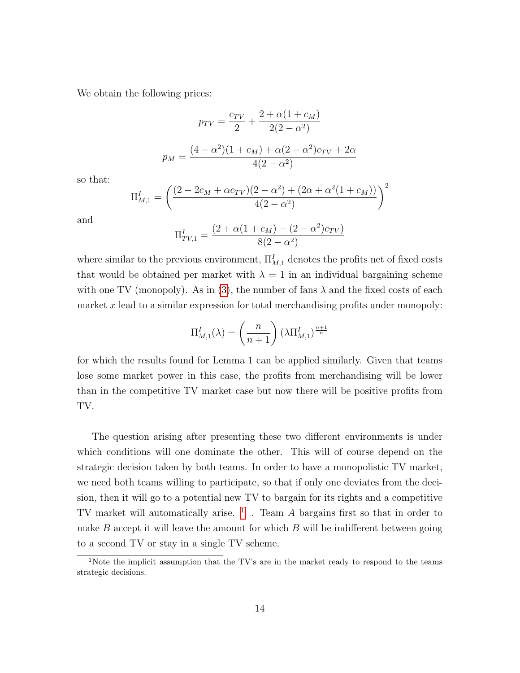We obtain the following prices:

$$
p_{TV} = \frac{c_{TV}}{2} + \frac{2 + \alpha(1 + c_M)}{2(2 - \alpha^2)}
$$

$$
p_M = \frac{(4 - \alpha^2)(1 + c_M) + \alpha(2 - \alpha^2)c_{TV} + 2\alpha}{4(2 - \alpha^2)}
$$

so that:

$$
\Pi_{M,1}^I = \left(\frac{(2 - 2c_M + \alpha c_{TV})(2 - \alpha^2) + (2\alpha + \alpha^2(1 + c_M))}{4(2 - \alpha^2)}\right)^2
$$

and

$$
\Pi_{TV,1}^I = \frac{(2 + \alpha(1 + c_M) - (2 - \alpha^2)c_{TV})}{8(2 - \alpha^2)}
$$

where similar to the previous environment,  $\Pi_{M,1}^I$  denotes the profits net of fixed costs that would be obtained per market with  $\lambda = 1$  in an individual bargaining scheme with one TV (monopoly). As in [\(3\)](#page-12-0), the number of fans  $\lambda$  and the fixed costs of each market x lead to a similar expression for total merchandising profits under monopoly:

$$
\Pi_{M,1}^I(\lambda) = \left(\frac{n}{n+1}\right) \left(\lambda \Pi_{M,1}^I\right)^{\frac{n+1}{n}}
$$

for which the results found for Lemma 1 can be applied similarly. Given that teams lose some market power in this case, the profits from merchandising will be lower than in the competitive TV market case but now there will be positive profits from TV.

The question arising after presenting these two different environments is under which conditions will one dominate the other. This will of course depend on the strategic decision taken by both teams. In order to have a monopolistic TV market, we need both teams willing to participate, so that if only one deviates from the decision, then it will go to a potential new TV to bargain for its rights and a competitive TV market will automatically arise.  $\frac{1}{1}$  $\frac{1}{1}$  $\frac{1}{1}$ . Team A bargains first so that in order to make  $B$  accept it will leave the amount for which  $B$  will be indifferent between going to a second TV or stay in a single TV scheme.

<span id="page-14-0"></span><sup>&</sup>lt;sup>1</sup>Note the implicit assumption that the TV's are in the market ready to respond to the teams strategic decisions.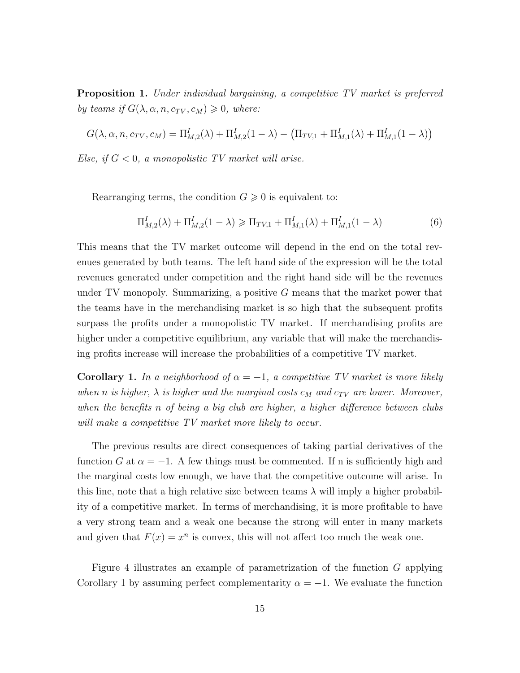Proposition 1. Under individual bargaining, a competitive TV market is preferred by teams if  $G(\lambda, \alpha, n, c_{TV}, c_M) \geq 0$ , where:

$$
G(\lambda, \alpha, n, c_{TV}, c_M) = \Pi_{M,2}^I(\lambda) + \Pi_{M,2}^I(1 - \lambda) - (\Pi_{TV,1} + \Pi_{M,1}^I(\lambda) + \Pi_{M,1}^I(1 - \lambda))
$$

Else, if  $G < 0$ , a monopolistic TV market will arise.

Rearranging terms, the condition  $G \geq 0$  is equivalent to:

$$
\Pi_{M,2}^{I}(\lambda) + \Pi_{M,2}^{I}(1-\lambda) \geq \Pi_{TV,1} + \Pi_{M,1}^{I}(\lambda) + \Pi_{M,1}^{I}(1-\lambda)
$$
\n(6)

This means that the TV market outcome will depend in the end on the total revenues generated by both teams. The left hand side of the expression will be the total revenues generated under competition and the right hand side will be the revenues under TV monopoly. Summarizing, a positive  $G$  means that the market power that the teams have in the merchandising market is so high that the subsequent profits surpass the profits under a monopolistic TV market. If merchandising profits are higher under a competitive equilibrium, any variable that will make the merchandising profits increase will increase the probabilities of a competitive TV market.

**Corollary 1.** In a neighborhood of  $\alpha = -1$ , a competitive TV market is more likely when n is higher,  $\lambda$  is higher and the marginal costs  $c_M$  and  $c_{TV}$  are lower. Moreover, when the benefits n of being a big club are higher, a higher difference between clubs will make a competitive TV market more likely to occur.

The previous results are direct consequences of taking partial derivatives of the function G at  $\alpha = -1$ . A few things must be commented. If n is sufficiently high and the marginal costs low enough, we have that the competitive outcome will arise. In this line, note that a high relative size between teams  $\lambda$  will imply a higher probability of a competitive market. In terms of merchandising, it is more profitable to have a very strong team and a weak one because the strong will enter in many markets and given that  $F(x) = x^n$  is convex, this will not affect too much the weak one.

Figure 4 illustrates an example of parametrization of the function G applying Corollary 1 by assuming perfect complementarity  $\alpha = -1$ . We evaluate the function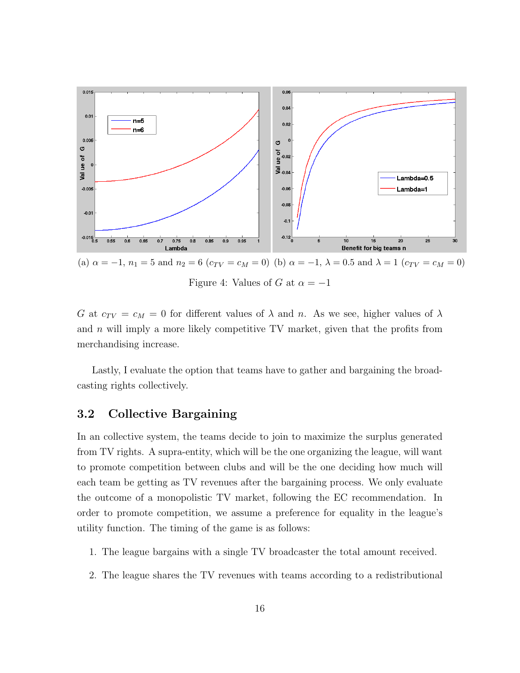

G at  $c_{TV} = c_M = 0$  for different values of  $\lambda$  and n. As we see, higher values of  $\lambda$ and  $n$  will imply a more likely competitive TV market, given that the profits from merchandising increase.

Lastly, I evaluate the option that teams have to gather and bargaining the broadcasting rights collectively.

## 3.2 Collective Bargaining

In an collective system, the teams decide to join to maximize the surplus generated from TV rights. A supra-entity, which will be the one organizing the league, will want to promote competition between clubs and will be the one deciding how much will each team be getting as TV revenues after the bargaining process. We only evaluate the outcome of a monopolistic TV market, following the EC recommendation. In order to promote competition, we assume a preference for equality in the league's utility function. The timing of the game is as follows:

- 1. The league bargains with a single TV broadcaster the total amount received.
- 2. The league shares the TV revenues with teams according to a redistributional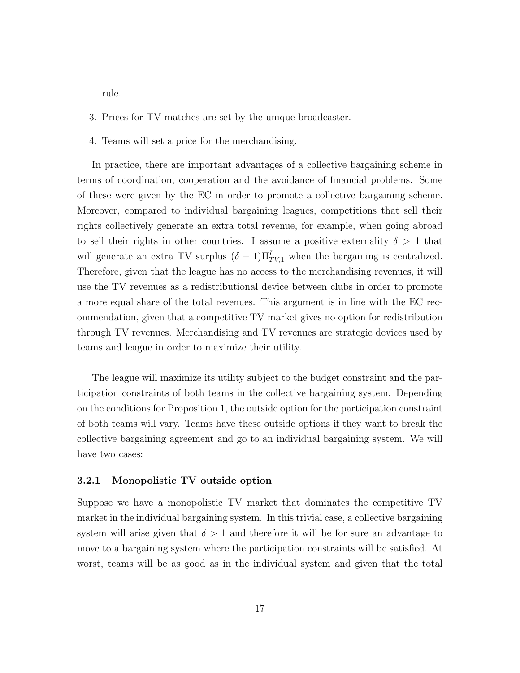rule.

- 3. Prices for TV matches are set by the unique broadcaster.
- 4. Teams will set a price for the merchandising.

In practice, there are important advantages of a collective bargaining scheme in terms of coordination, cooperation and the avoidance of financial problems. Some of these were given by the EC in order to promote a collective bargaining scheme. Moreover, compared to individual bargaining leagues, competitions that sell their rights collectively generate an extra total revenue, for example, when going abroad to sell their rights in other countries. I assume a positive externality  $\delta > 1$  that will generate an extra TV surplus  $(\delta - 1)\Pi_{TV,1}^I$  when the bargaining is centralized. Therefore, given that the league has no access to the merchandising revenues, it will use the TV revenues as a redistributional device between clubs in order to promote a more equal share of the total revenues. This argument is in line with the EC recommendation, given that a competitive TV market gives no option for redistribution through TV revenues. Merchandising and TV revenues are strategic devices used by teams and league in order to maximize their utility.

The league will maximize its utility subject to the budget constraint and the participation constraints of both teams in the collective bargaining system. Depending on the conditions for Proposition 1, the outside option for the participation constraint of both teams will vary. Teams have these outside options if they want to break the collective bargaining agreement and go to an individual bargaining system. We will have two cases:

#### 3.2.1 Monopolistic TV outside option

Suppose we have a monopolistic TV market that dominates the competitive TV market in the individual bargaining system. In this trivial case, a collective bargaining system will arise given that  $\delta > 1$  and therefore it will be for sure an advantage to move to a bargaining system where the participation constraints will be satisfied. At worst, teams will be as good as in the individual system and given that the total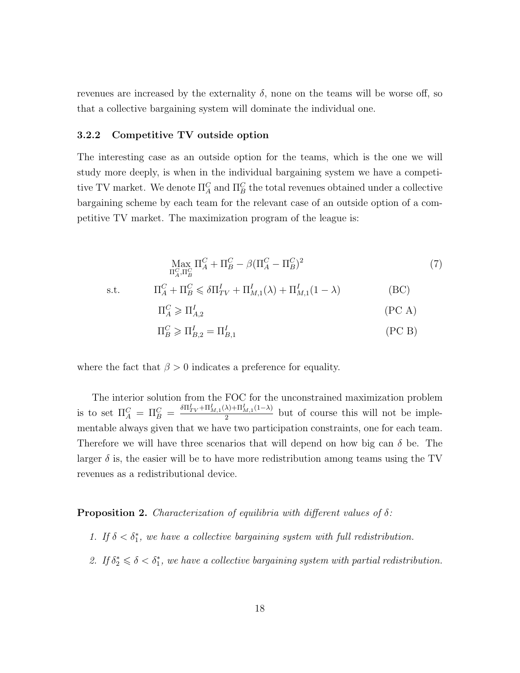revenues are increased by the externality  $\delta$ , none on the teams will be worse off, so that a collective bargaining system will dominate the individual one.

#### 3.2.2 Competitive TV outside option

The interesting case as an outside option for the teams, which is the one we will study more deeply, is when in the individual bargaining system we have a competitive TV market. We denote  $\Pi_A^C$  and  $\Pi_B^C$  the total revenues obtained under a collective bargaining scheme by each team for the relevant case of an outside option of a competitive TV market. The maximization program of the league is:

$$
\max_{\Pi_A^C, \Pi_B^C} \Pi_A^C + \Pi_B^C - \beta (\Pi_A^C - \Pi_B^C)^2
$$
\n
$$
\text{s.t.} \qquad \Pi_A^C + \Pi_B^C \leq \delta \Pi_{TV}^I + \Pi_{M,1}^I(\lambda) + \Pi_{M,1}^I(1-\lambda)
$$
\n
$$
\Pi_A^C \geqslant \Pi_{A,2}^I \qquad (PC A)
$$
\n
$$
\Pi_B^C \geqslant \Pi_{B,2}^I = \Pi_{B,1}^I \qquad (PC B)
$$

where the fact that  $\beta > 0$  indicates a preference for equality.

The interior solution from the FOC for the unconstrained maximization problem is to set  $\Pi_A^C = \Pi_B^C = \frac{\delta \Pi_{TV}^I + \Pi_{M,1}^I(\lambda) + \Pi_{M,1}^I(1-\lambda)}{2}$  $\frac{\lambda_{j+1}}{2}$  but of course this will not be implementable always given that we have two participation constraints, one for each team. Therefore we will have three scenarios that will depend on how big can  $\delta$  be. The larger  $\delta$  is, the easier will be to have more redistribution among teams using the TV revenues as a redistributional device.

**Proposition 2.** Characterization of equilibria with different values of  $\delta$ :

- 1. If  $\delta < \delta_1^*$ , we have a collective bargaining system with full redistribution.
- 2. If  $\delta_2^* \leq \delta \leq \delta_1^*$ , we have a collective bargaining system with partial redistribution.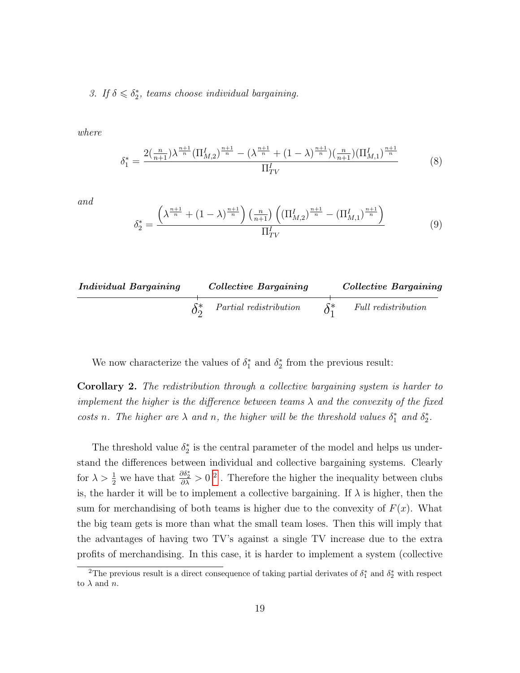3. If  $\delta \leq \delta_2^*$ , teams choose individual bargaining.

where

$$
\delta_1^* = \frac{2\left(\frac{n}{n+1}\right)\lambda^{\frac{n+1}{n}}\left(\prod_{M,2}^I\right)^{\frac{n+1}{n}} - \left(\lambda^{\frac{n+1}{n}} + (1-\lambda)^{\frac{n+1}{n}}\right)\left(\frac{n}{n+1}\right)\left(\prod_{M,1}^I\right)^{\frac{n+1}{n}}}{\prod_{TV}^I} \tag{8}
$$

and

$$
\delta_2^* = \frac{\left(\lambda^{\frac{n+1}{n}} + (1-\lambda)^{\frac{n+1}{n}}\right)\left(\frac{n}{n+1}\right)\left((\Pi_{M,2}^I)^{\frac{n+1}{n}} - (\Pi_{M,1}^I)^{\frac{n+1}{n}}\right)}{\Pi_{TV}^I}
$$
(9)

| Individual Bargaining | Collective Bargaining  | Collective Bargaining |                     |
|-----------------------|------------------------|-----------------------|---------------------|
| $\delta_2^*$          | Partial redistribution | $\delta_1^*$          | Full redistribution |

We now characterize the values of  $\delta_1^*$  and  $\delta_2^*$  from the previous result:

Corollary 2. The redistribution through a collective bargaining system is harder to implement the higher is the difference between teams  $\lambda$  and the convexity of the fixed costs n. The higher are  $\lambda$  and n, the higher will be the threshold values  $\delta_1^*$  and  $\delta_2^*$ .

The threshold value  $\delta_2^*$  is the central parameter of the model and helps us understand the differences between individual and collective bargaining systems. Clearly for  $\lambda > \frac{1}{2}$  $\lambda > \frac{1}{2}$  $\lambda > \frac{1}{2}$  we have that  $\frac{\partial \delta_2^*}{\partial \lambda} > 0^2$ . Therefore the higher the inequality between clubs is, the harder it will be to implement a collective bargaining. If  $\lambda$  is higher, then the sum for merchandising of both teams is higher due to the convexity of  $F(x)$ . What the big team gets is more than what the small team loses. Then this will imply that the advantages of having two TV's against a single TV increase due to the extra profits of merchandising. In this case, it is harder to implement a system (collective

<span id="page-19-0"></span><sup>&</sup>lt;sup>2</sup>The previous result is a direct consequence of taking partial derivates of  $\delta_1^*$  and  $\delta_2^*$  with respect to  $\lambda$  and  $n$ .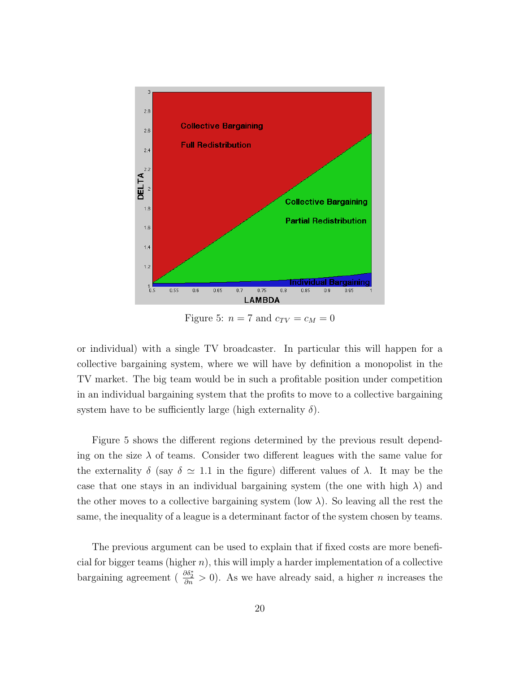

Figure 5:  $n = 7$  and  $c_{TV} = c_M = 0$ 

or individual) with a single TV broadcaster. In particular this will happen for a collective bargaining system, where we will have by definition a monopolist in the TV market. The big team would be in such a profitable position under competition in an individual bargaining system that the profits to move to a collective bargaining system have to be sufficiently large (high externality  $\delta$ ).

Figure 5 shows the different regions determined by the previous result depending on the size  $\lambda$  of teams. Consider two different leagues with the same value for the externality  $\delta$  (say  $\delta \simeq 1.1$  in the figure) different values of  $\lambda$ . It may be the case that one stays in an individual bargaining system (the one with high  $\lambda$ ) and the other moves to a collective bargaining system (low  $\lambda$ ). So leaving all the rest the same, the inequality of a league is a determinant factor of the system chosen by teams.

The previous argument can be used to explain that if fixed costs are more beneficial for bigger teams (higher  $n$ ), this will imply a harder implementation of a collective bargaining agreement ( $\frac{\partial \delta_2^*}{\partial n} > 0$ ). As we have already said, a higher *n* increases the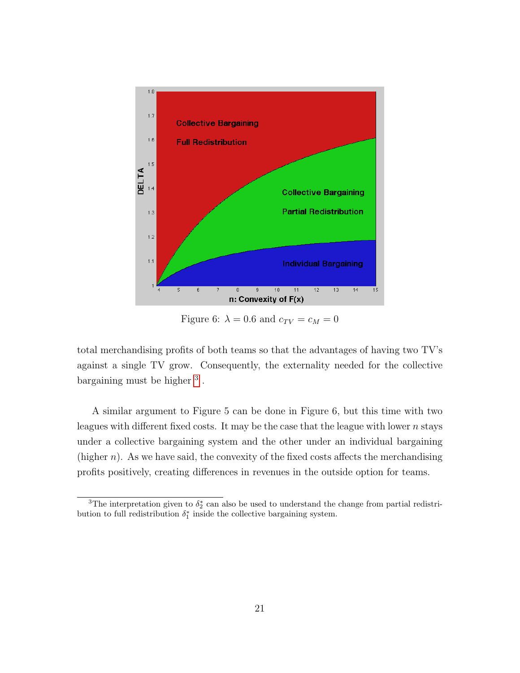

Figure 6:  $\lambda = 0.6$  and  $c_{TV} = c_M = 0$ 

total merchandising profits of both teams so that the advantages of having two TV's against a single TV grow. Consequently, the externality needed for the collective bargaining must be higher <sup>[3](#page-21-0)</sup>.

A similar argument to Figure 5 can be done in Figure 6, but this time with two leagues with different fixed costs. It may be the case that the league with lower  $n$  stays under a collective bargaining system and the other under an individual bargaining (higher  $n$ ). As we have said, the convexity of the fixed costs affects the merchandising profits positively, creating differences in revenues in the outside option for teams.

<span id="page-21-0"></span><sup>&</sup>lt;sup>3</sup>The interpretation given to  $\delta_2^*$  can also be used to understand the change from partial redistribution to full redistribution  $\delta_1^*$  inside the collective bargaining system.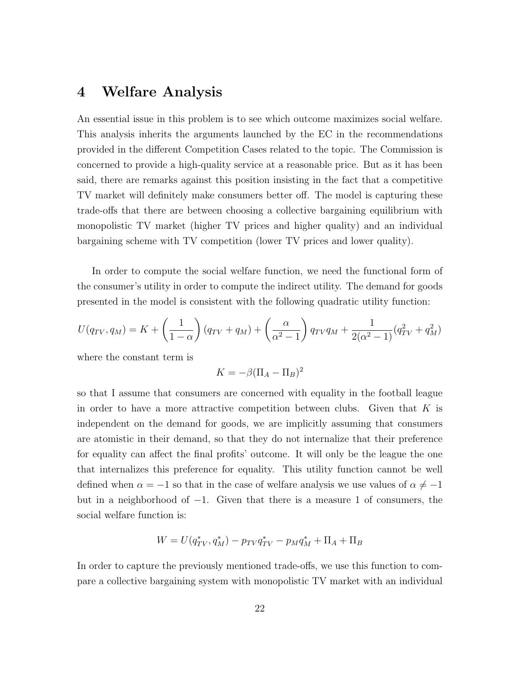# 4 Welfare Analysis

An essential issue in this problem is to see which outcome maximizes social welfare. This analysis inherits the arguments launched by the EC in the recommendations provided in the different Competition Cases related to the topic. The Commission is concerned to provide a high-quality service at a reasonable price. But as it has been said, there are remarks against this position insisting in the fact that a competitive TV market will definitely make consumers better off. The model is capturing these trade-offs that there are between choosing a collective bargaining equilibrium with monopolistic TV market (higher TV prices and higher quality) and an individual bargaining scheme with TV competition (lower TV prices and lower quality).

In order to compute the social welfare function, we need the functional form of the consumer's utility in order to compute the indirect utility. The demand for goods presented in the model is consistent with the following quadratic utility function:

$$
U(q_{TV}, q_M) = K + \left(\frac{1}{1-\alpha}\right)(q_{TV} + q_M) + \left(\frac{\alpha}{\alpha^2 - 1}\right)q_{TV}q_M + \frac{1}{2(\alpha^2 - 1)}(q_{TV}^2 + q_M^2)
$$

where the constant term is

$$
K = -\beta(\Pi_A - \Pi_B)^2
$$

so that I assume that consumers are concerned with equality in the football league in order to have a more attractive competition between clubs. Given that  $K$  is independent on the demand for goods, we are implicitly assuming that consumers are atomistic in their demand, so that they do not internalize that their preference for equality can affect the final profits' outcome. It will only be the league the one that internalizes this preference for equality. This utility function cannot be well defined when  $\alpha = -1$  so that in the case of welfare analysis we use values of  $\alpha \neq -1$ but in a neighborhood of −1. Given that there is a measure 1 of consumers, the social welfare function is:

$$
W = U(q_{TV}^*, q_M^*) - p_{TV}q_{TV}^* - p_M q_M^* + \Pi_A + \Pi_B
$$

In order to capture the previously mentioned trade-offs, we use this function to compare a collective bargaining system with monopolistic TV market with an individual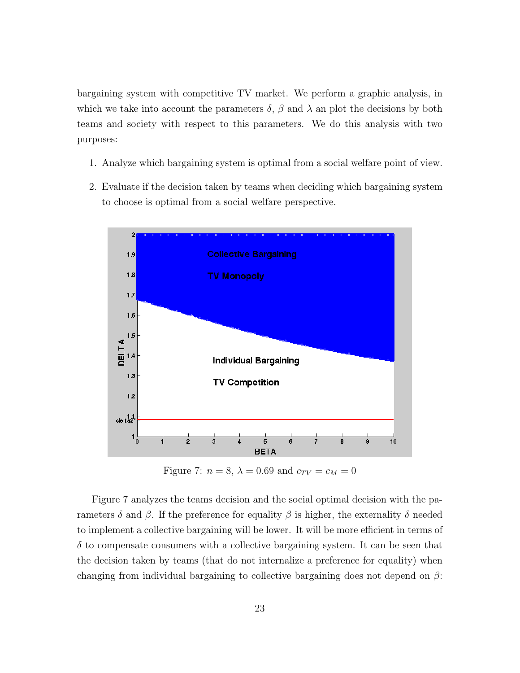bargaining system with competitive TV market. We perform a graphic analysis, in which we take into account the parameters  $\delta$ ,  $\beta$  and  $\lambda$  an plot the decisions by both teams and society with respect to this parameters. We do this analysis with two purposes:

- 1. Analyze which bargaining system is optimal from a social welfare point of view.
- 2. Evaluate if the decision taken by teams when deciding which bargaining system to choose is optimal from a social welfare perspective.



Figure 7:  $n = 8$ ,  $\lambda = 0.69$  and  $c_{TV} = c_M = 0$ 

Figure 7 analyzes the teams decision and the social optimal decision with the parameters δ and β. If the preference for equality β is higher, the externality δ needed to implement a collective bargaining will be lower. It will be more efficient in terms of  $\delta$  to compensate consumers with a collective bargaining system. It can be seen that the decision taken by teams (that do not internalize a preference for equality) when changing from individual bargaining to collective bargaining does not depend on  $\beta$ :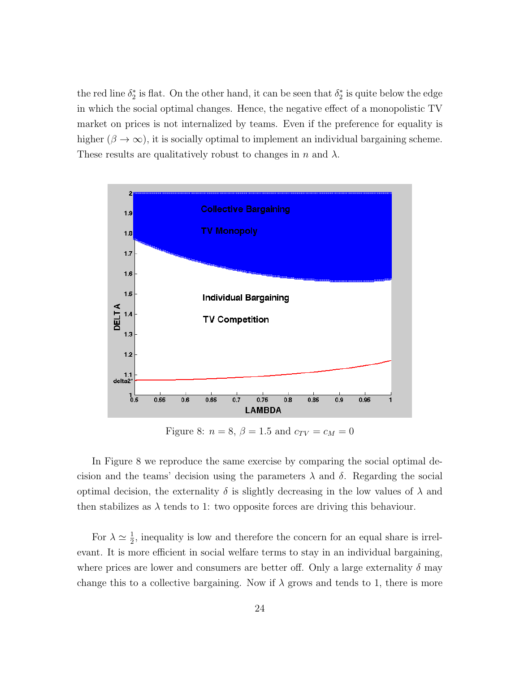the red line  $\delta_2^*$  is flat. On the other hand, it can be seen that  $\delta_2^*$  is quite below the edge in which the social optimal changes. Hence, the negative effect of a monopolistic TV market on prices is not internalized by teams. Even if the preference for equality is higher ( $\beta \to \infty$ ), it is socially optimal to implement an individual bargaining scheme. These results are qualitatively robust to changes in n and  $\lambda$ .



Figure 8:  $n = 8, \beta = 1.5$  and  $c_{TV} = c_M = 0$ 

In Figure 8 we reproduce the same exercise by comparing the social optimal decision and the teams' decision using the parameters  $\lambda$  and  $\delta$ . Regarding the social optimal decision, the externality  $\delta$  is slightly decreasing in the low values of  $\lambda$  and then stabilizes as  $\lambda$  tends to 1: two opposite forces are driving this behaviour.

For  $\lambda \simeq \frac{1}{2}$  $\frac{1}{2}$ , inequality is low and therefore the concern for an equal share is irrelevant. It is more efficient in social welfare terms to stay in an individual bargaining, where prices are lower and consumers are better off. Only a large externality  $\delta$  may change this to a collective bargaining. Now if  $\lambda$  grows and tends to 1, there is more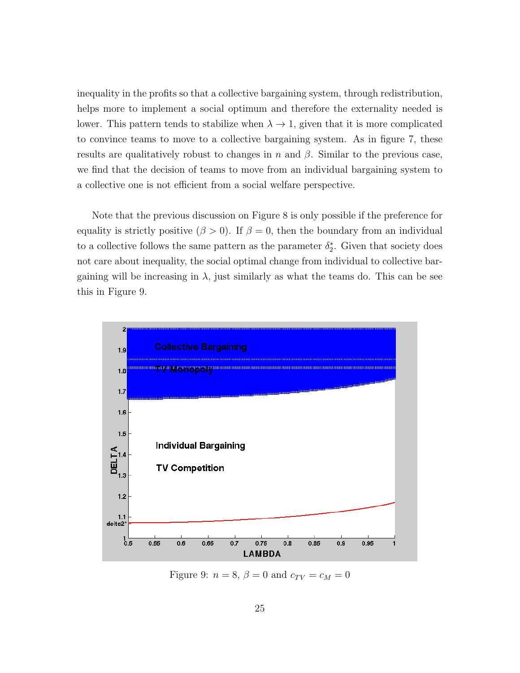inequality in the profits so that a collective bargaining system, through redistribution, helps more to implement a social optimum and therefore the externality needed is lower. This pattern tends to stabilize when  $\lambda \to 1$ , given that it is more complicated to convince teams to move to a collective bargaining system. As in figure 7, these results are qualitatively robust to changes in n and  $\beta$ . Similar to the previous case, we find that the decision of teams to move from an individual bargaining system to a collective one is not efficient from a social welfare perspective.

Note that the previous discussion on Figure 8 is only possible if the preference for equality is strictly positive ( $\beta > 0$ ). If  $\beta = 0$ , then the boundary from an individual to a collective follows the same pattern as the parameter  $\delta_2^*$ . Given that society does not care about inequality, the social optimal change from individual to collective bargaining will be increasing in  $\lambda$ , just similarly as what the teams do. This can be see this in Figure 9.



Figure 9:  $n = 8$ ,  $\beta = 0$  and  $c_{TV} = c_M = 0$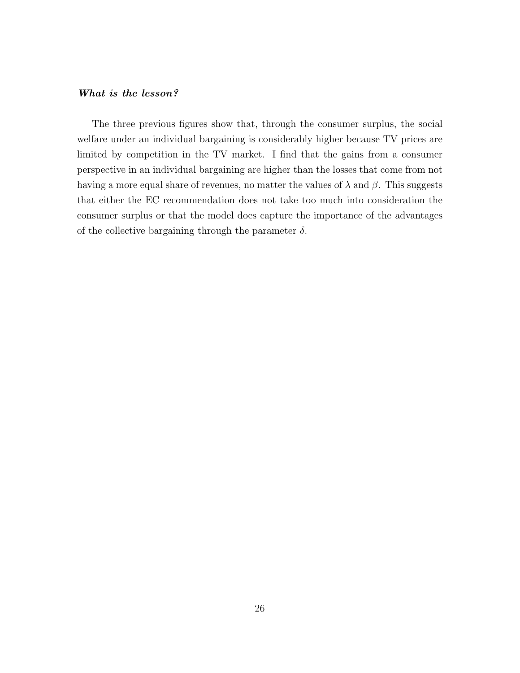#### What is the lesson?

The three previous figures show that, through the consumer surplus, the social welfare under an individual bargaining is considerably higher because TV prices are limited by competition in the TV market. I find that the gains from a consumer perspective in an individual bargaining are higher than the losses that come from not having a more equal share of revenues, no matter the values of  $\lambda$  and  $\beta$ . This suggests that either the EC recommendation does not take too much into consideration the consumer surplus or that the model does capture the importance of the advantages of the collective bargaining through the parameter  $\delta$ .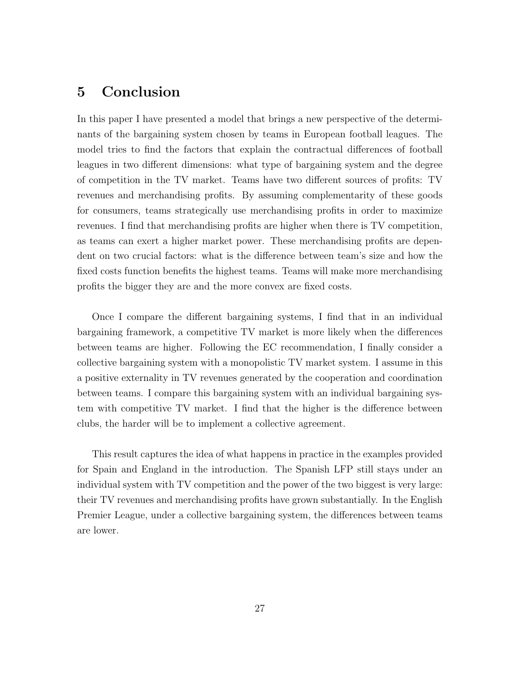# 5 Conclusion

In this paper I have presented a model that brings a new perspective of the determinants of the bargaining system chosen by teams in European football leagues. The model tries to find the factors that explain the contractual differences of football leagues in two different dimensions: what type of bargaining system and the degree of competition in the TV market. Teams have two different sources of profits: TV revenues and merchandising profits. By assuming complementarity of these goods for consumers, teams strategically use merchandising profits in order to maximize revenues. I find that merchandising profits are higher when there is TV competition, as teams can exert a higher market power. These merchandising profits are dependent on two crucial factors: what is the difference between team's size and how the fixed costs function benefits the highest teams. Teams will make more merchandising profits the bigger they are and the more convex are fixed costs.

Once I compare the different bargaining systems, I find that in an individual bargaining framework, a competitive TV market is more likely when the differences between teams are higher. Following the EC recommendation, I finally consider a collective bargaining system with a monopolistic TV market system. I assume in this a positive externality in TV revenues generated by the cooperation and coordination between teams. I compare this bargaining system with an individual bargaining system with competitive TV market. I find that the higher is the difference between clubs, the harder will be to implement a collective agreement.

This result captures the idea of what happens in practice in the examples provided for Spain and England in the introduction. The Spanish LFP still stays under an individual system with TV competition and the power of the two biggest is very large: their TV revenues and merchandising profits have grown substantially. In the English Premier League, under a collective bargaining system, the differences between teams are lower.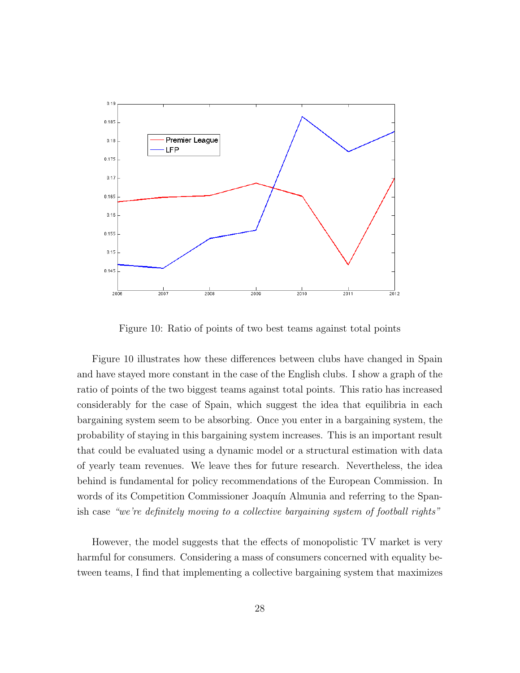

Figure 10: Ratio of points of two best teams against total points

Figure 10 illustrates how these differences between clubs have changed in Spain and have stayed more constant in the case of the English clubs. I show a graph of the ratio of points of the two biggest teams against total points. This ratio has increased considerably for the case of Spain, which suggest the idea that equilibria in each bargaining system seem to be absorbing. Once you enter in a bargaining system, the probability of staying in this bargaining system increases. This is an important result that could be evaluated using a dynamic model or a structural estimation with data of yearly team revenues. We leave thes for future research. Nevertheless, the idea behind is fundamental for policy recommendations of the European Commission. In words of its Competition Commissioner Joaquín Almunia and referring to the Spanish case "we're definitely moving to a collective bargaining system of football rights"

However, the model suggests that the effects of monopolistic TV market is very harmful for consumers. Considering a mass of consumers concerned with equality between teams, I find that implementing a collective bargaining system that maximizes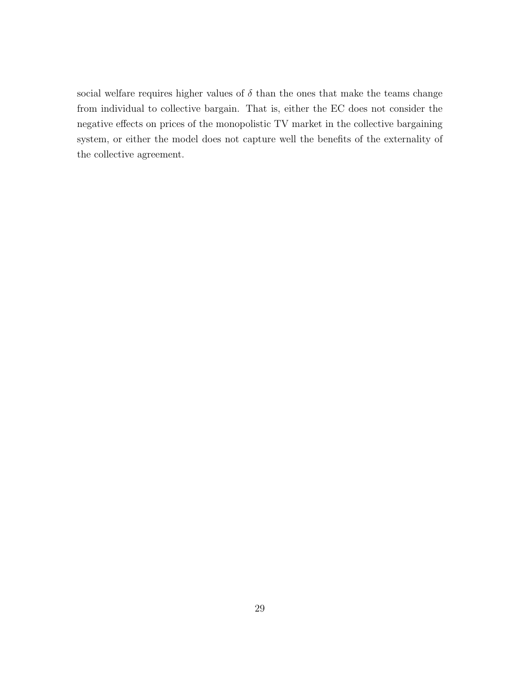social welfare requires higher values of  $\delta$  than the ones that make the teams change from individual to collective bargain. That is, either the EC does not consider the negative effects on prices of the monopolistic TV market in the collective bargaining system, or either the model does not capture well the benefits of the externality of the collective agreement.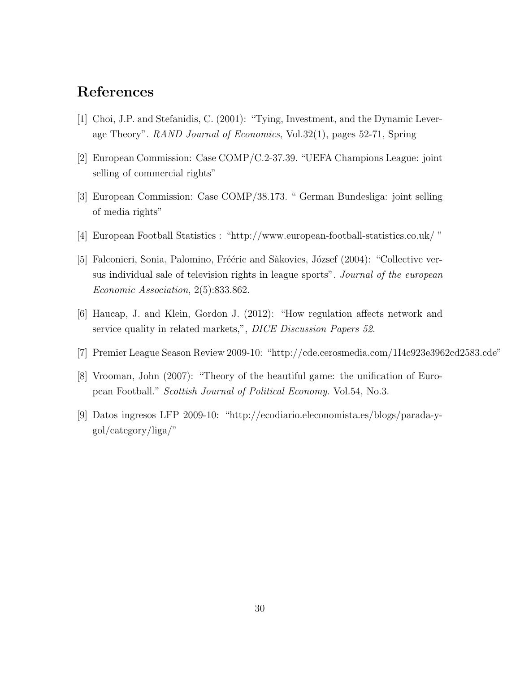# References

- <span id="page-30-1"></span>[1] Choi, J.P. and Stefanidis, C. (2001): "Tying, Investment, and the Dynamic Leverage Theory". RAND Journal of Economics, Vol.32(1), pages 52-71, Spring
- [2] European Commission: Case COMP/C.2-37.39. "UEFA Champions League: joint selling of commercial rights"
- [3] European Commission: Case COMP/38.173. " German Bundesliga: joint selling of media rights"
- <span id="page-30-0"></span>[4] European Football Statistics : "http://www.european-football-statistics.co.uk/ "
- [5] Falconieri, Sonia, Palomino, Frééric and Sàkovics, József (2004): "Collective versus individual sale of television rights in league sports". Journal of the european Economic Association, 2(5):833.862.
- <span id="page-30-2"></span>[6] Haucap, J. and Klein, Gordon J. (2012): "How regulation affects network and service quality in related markets,", DICE Discussion Papers 52.
- [7] Premier League Season Review 2009-10: "http://cde.cerosmedia.com/1I4c923e3962cd2583.cde"
- [8] Vrooman, John (2007): "Theory of the beautiful game: the unification of European Football." Scottish Journal of Political Economy. Vol.54, No.3.
- [9] Datos ingresos LFP 2009-10: "http://ecodiario.eleconomista.es/blogs/parada-ygol/category/liga/"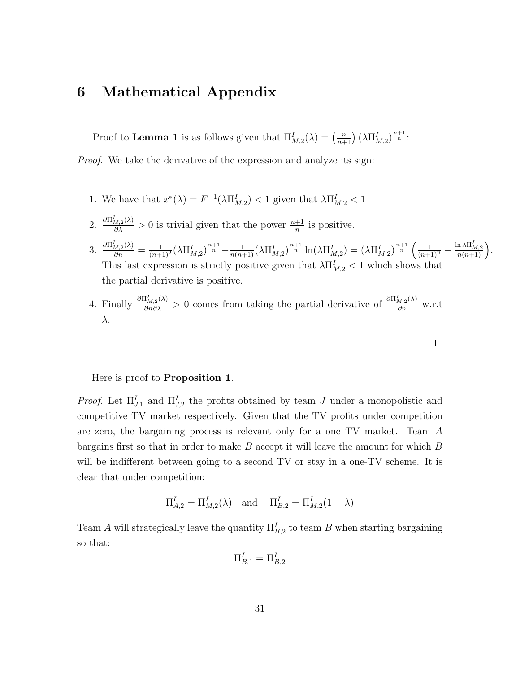# 6 Mathematical Appendix

Proof to **Lemma 1** is as follows given that  $\Pi_{M,2}^I(\lambda) = \left(\frac{n}{n+1}\right) (\lambda \Pi_{M,2}^I)^{\frac{n+1}{n}}$ .

Proof. We take the derivative of the expression and analyze its sign:

- 1. We have that  $x^*(\lambda) = F^{-1}(\lambda \prod_{M,2}^I) < 1$  given that  $\lambda \prod_{M,2}^I < 1$
- 2.  $\frac{\partial \Pi_{M,2}^I(\lambda)}{\partial \lambda} > 0$  is trivial given that the power  $\frac{n+1}{n}$  is positive.
- 3.  $\frac{\partial \Pi_{M,2}^I(\lambda)}{\partial n} = \frac{1}{(n+1)^2} (\lambda \Pi_{M,2}^I)^{\frac{n+1}{n}} \frac{1}{n(n+1)} (\lambda \Pi_{M,2}^I)^{\frac{n+1}{n}} \ln(\lambda \Pi_{M,2}^I) = (\lambda \Pi_{M,2}^I)^{\frac{n+1}{n}} \left( \frac{1}{(n+1)^2} \frac{\ln \lambda \Pi_{M,2}^I}{n(n+1)} \right).$ This last expression is strictly positive given that  $\lambda \prod_{M,2}^I < 1$  which shows that the partial derivative is positive.
- 4. Finally  $\frac{\partial \Pi_{M,2}^I(\lambda)}{\partial n \partial \lambda} > 0$  comes from taking the partial derivative of  $\frac{\partial \Pi_{M,2}^I(\lambda)}{\partial n}$  w.r.t λ.

#### Here is proof to Proposition 1.

*Proof.* Let  $\Pi_{J,1}^I$  and  $\Pi_{J,2}^I$  the profits obtained by team J under a monopolistic and competitive TV market respectively. Given that the TV profits under competition are zero, the bargaining process is relevant only for a one TV market. Team A bargains first so that in order to make  $B$  accept it will leave the amount for which  $B$ will be indifferent between going to a second TV or stay in a one-TV scheme. It is clear that under competition:

$$
\Pi_{A,2}^I = \Pi_{M,2}^I(\lambda)
$$
 and  $\Pi_{B,2}^I = \Pi_{M,2}^I(1 - \lambda)$ 

Team A will strategically leave the quantity  $\Pi_{B,2}^I$  to team B when starting bargaining so that:

$$
\Pi_{B,1}^I=\Pi_{B,2}^I
$$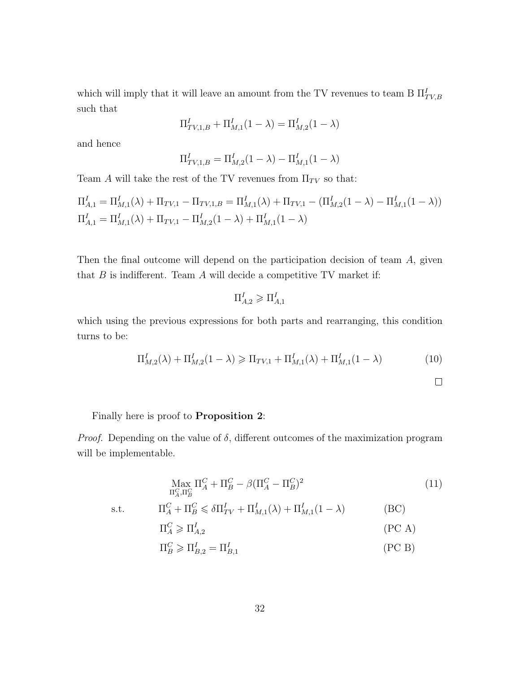which will imply that it will leave an amount from the TV revenues to team B  $\Pi_{TV,B}^I$ such that

$$
\Pi^I_{TV,1,B}+\Pi^I_{M,1}(1-\lambda)=\Pi^I_{M,2}(1-\lambda)
$$

and hence

$$
\Pi_{TV,1,B}^I = \Pi_{M,2}^I (1 - \lambda) - \Pi_{M,1}^I (1 - \lambda)
$$

Team A will take the rest of the TV revenues from  $\Pi_{TV}$  so that:

$$
\Pi_{A,1}^I = \Pi_{M,1}^I(\lambda) + \Pi_{TV,1} - \Pi_{TV,1,B} = \Pi_{M,1}^I(\lambda) + \Pi_{TV,1} - (\Pi_{M,2}^I(1-\lambda) - \Pi_{M,1}^I(1-\lambda))
$$
  

$$
\Pi_{A,1}^I = \Pi_{M,1}^I(\lambda) + \Pi_{TV,1} - \Pi_{M,2}^I(1-\lambda) + \Pi_{M,1}^I(1-\lambda)
$$

Then the final outcome will depend on the participation decision of team A, given that  $B$  is indifferent. Team  $A$  will decide a competitive TV market if:

$$
\Pi_{A,2}^I\geqslant \Pi_{A,1}^I
$$

which using the previous expressions for both parts and rearranging, this condition turns to be:

<span id="page-32-0"></span>
$$
\Pi_{M,2}^I(\lambda) + \Pi_{M,2}^I(1-\lambda) \ge \Pi_{TV,1} + \Pi_{M,1}^I(\lambda) + \Pi_{M,1}^I(1-\lambda)
$$
\n(10)

$$
\Box
$$

### Finally here is proof to **Proposition 2:**

*Proof.* Depending on the value of  $\delta$ , different outcomes of the maximization program will be implementable.

$$
\underset{\Pi_A^C, \Pi_B^C}{\text{Max}} \Pi_A^C + \Pi_B^C - \beta (\Pi_A^C - \Pi_B^C)^2 \tag{11}
$$

s.t.

$$
\Pi_A^C + \Pi_B^C \leq \delta \Pi_{TV}^I + \Pi_{M,1}^I(\lambda) + \Pi_{M,1}^I(1 - \lambda)
$$
 (BC)  

$$
\Pi_A^C \geqslant \Pi_{A,2}^I
$$
 (PC A)

$$
\Pi_B^C \geqslant \Pi_{B,2}^I = \Pi_{B,1}^I \tag{PC B}
$$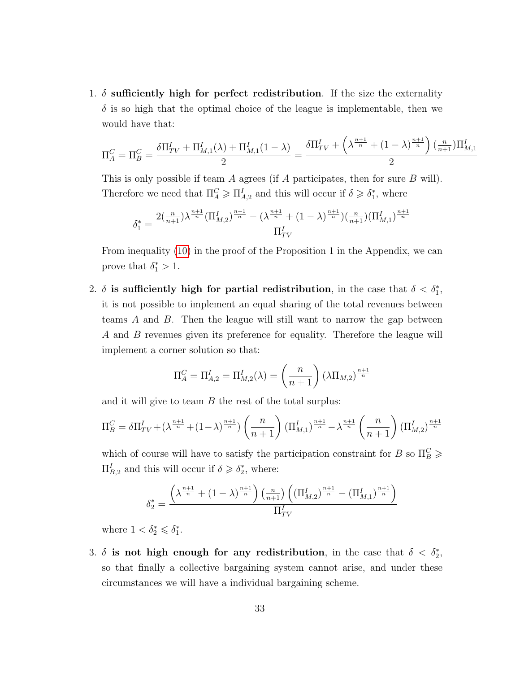1.  $\delta$  sufficiently high for perfect redistribution. If the size the externality  $\delta$  is so high that the optimal choice of the league is implementable, then we would have that:

$$
\Pi_A^C = \Pi_B^C = \frac{\delta \Pi_{TV}^I + \Pi_{M,1}^I(\lambda) + \Pi_{M,1}^I(1-\lambda)}{2} = \frac{\delta \Pi_{TV}^I + \left(\lambda^{\frac{n+1}{n}} + (1-\lambda)^{\frac{n+1}{n}}\right) \left(\frac{n}{n+1}\right) \Pi_{M,1}^I}{2}
$$

This is only possible if team A agrees (if A participates, then for sure B will). Therefore we need that  $\Pi_A^C \geq \Pi_{A,2}^I$  and this will occur if  $\delta \geq \delta_1^*$ , where

$$
\delta_1^* = \frac{2(\frac{n}{n+1})\lambda^{\frac{n+1}{n}}(\Pi_{M,2}^I)^{\frac{n+1}{n}} - (\lambda^{\frac{n+1}{n}} + (1-\lambda)^{\frac{n+1}{n}})(\frac{n}{n+1})(\Pi_{M,1}^I)^{\frac{n+1}{n}}}{\Pi_{TV}^I}
$$

From inequality [\(10\)](#page-32-0) in the proof of the Proposition 1 in the Appendix, we can prove that  $\delta_1^* > 1$ .

2.  $\delta$  is sufficiently high for partial redistribution, in the case that  $\delta < \delta_1^*$ , it is not possible to implement an equal sharing of the total revenues between teams A and B. Then the league will still want to narrow the gap between A and B revenues given its preference for equality. Therefore the league will implement a corner solution so that:

$$
\Pi_A^C = \Pi_{A,2}^I = \Pi_{M,2}^I(\lambda) = \left(\frac{n}{n+1}\right) (\lambda \Pi_{M,2})^{\frac{n+1}{n}}
$$

and it will give to team  $B$  the rest of the total surplus:

$$
\Pi_B^C = \delta \Pi_{TV}^I + (\lambda^{\frac{n+1}{n}} + (1 - \lambda)^{\frac{n+1}{n}}) \left(\frac{n}{n+1}\right) \left(\Pi_{M,1}^I\right)^{\frac{n+1}{n}} - \lambda^{\frac{n+1}{n}} \left(\frac{n}{n+1}\right) \left(\Pi_{M,2}^I\right)^{\frac{n+1}{n}}
$$

which of course will have to satisfy the participation constraint for B so  $\Pi_B^C \geq 0$  $\Pi_{B,2}^I$  and this will occur if  $\delta \geqslant \delta_2^*$ , where:

$$
\delta_2^* = \frac{\left(\lambda^{\frac{n+1}{n}} + (1-\lambda)^{\frac{n+1}{n}}\right)\left(\frac{n}{n+1}\right)\left((\Pi_{M,2}^I)^{\frac{n+1}{n}} - (\Pi_{M,1}^I)^{\frac{n+1}{n}}\right)}{\Pi_{TV}^I}
$$

where  $1 < \delta_2^* \leq \delta_1^*$ .

3.  $\delta$  is not high enough for any redistribution, in the case that  $\delta < \delta_2^*$ , so that finally a collective bargaining system cannot arise, and under these circumstances we will have a individual bargaining scheme.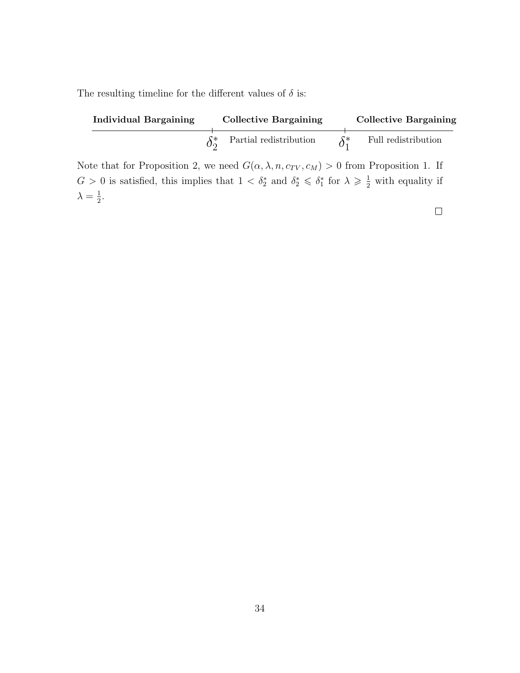The resulting timeline for the different values of  $\delta$  is:

| <b>Individual Bargaining</b> | <b>Collective Bargaining</b> |              | <b>Collective Bargaining</b> |
|------------------------------|------------------------------|--------------|------------------------------|
|                              | Partial redistribution       | $\delta^*_1$ | Full redistribution          |

Note that for Proposition 2, we need  $G(\alpha, \lambda, n, c_{TV}, c_M) > 0$  from Proposition 1. If  $G > 0$  is satisfied, this implies that  $1 < \delta_2^*$  and  $\delta_2^* \leq \delta_1^*$  for  $\lambda \geq \frac{1}{2}$  with equality if  $\lambda = \frac{1}{2}$  $\frac{1}{2}$ .

 $\Box$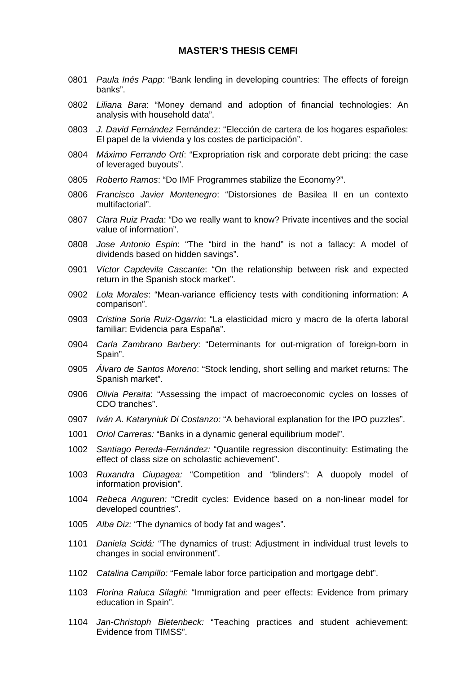### **MASTER'S THESIS CEMFI**

- 0801 *Paula Inés Papp*: "Bank lending in developing countries: The effects of foreign banks".
- 0802 *Liliana Bara*: "Money demand and adoption of financial technologies: An analysis with household data".
- 0803 *J. David Fernández* Fernández: "Elección de cartera de los hogares españoles: El papel de la vivienda y los costes de participación".
- 0804 *Máximo Ferrando Ortí*: "Expropriation risk and corporate debt pricing: the case of leveraged buyouts".
- 0805 *Roberto Ramos*: "Do IMF Programmes stabilize the Economy?".
- 0806 *Francisco Javier Montenegro*: "Distorsiones de Basilea II en un contexto multifactorial".
- 0807 *Clara Ruiz Prada*: "Do we really want to know? Private incentives and the social value of information".
- 0808 *Jose Antonio Espin*: "The "bird in the hand" is not a fallacy: A model of dividends based on hidden savings".
- 0901 *Víctor Capdevila Cascante*: "On the relationship between risk and expected return in the Spanish stock market".
- 0902 *Lola Morales*: "Mean-variance efficiency tests with conditioning information: A comparison".
- 0903 *Cristina Soria Ruiz-Ogarrio*: "La elasticidad micro y macro de la oferta laboral familiar: Evidencia para España".
- 0904 *Carla Zambrano Barbery*: "Determinants for out-migration of foreign-born in Spain".
- 0905 *Álvaro de Santos Moreno*: "Stock lending, short selling and market returns: The Spanish market".
- 0906 *Olivia Peraita*: "Assessing the impact of macroeconomic cycles on losses of CDO tranches".
- 0907 *Iván A. Kataryniuk Di Costanzo:* "A behavioral explanation for the IPO puzzles".
- 1001 *Oriol Carreras:* "Banks in a dynamic general equilibrium model".
- 1002 *Santiago Pereda-Fernández:* "Quantile regression discontinuity: Estimating the effect of class size on scholastic achievement".
- 1003 *Ruxandra Ciupagea:* "Competition and "blinders": A duopoly model of information provision".
- 1004 *Rebeca Anguren:* "Credit cycles: Evidence based on a non-linear model for developed countries".
- 1005 *Alba Diz:* "The dynamics of body fat and wages".
- 1101 *Daniela Scidá:* "The dynamics of trust: Adjustment in individual trust levels to changes in social environment".
- 1102 *Catalina Campillo:* "Female labor force participation and mortgage debt".
- 1103 *Florina Raluca Silaghi:* "Immigration and peer effects: Evidence from primary education in Spain".
- 1104 *Jan-Christoph Bietenbeck:* "Teaching practices and student achievement: Evidence from TIMSS".